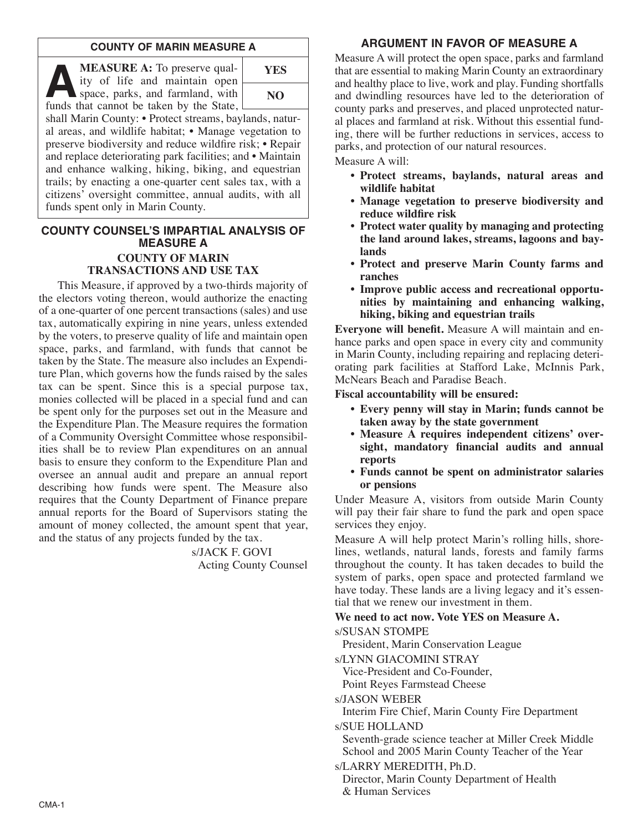#### **COUNTY OF MARIN MEASURE A**

**A MEASURE A:** To preserve quality of life and maintain open space, parks, and farmland, with funds that cannot be taken by the State ity of life and maintain open funds that cannot be taken by the State,



shall Marin County: • Protect streams, baylands, natural areas, and wildlife habitat; • Manage vegetation to preserve biodiversity and reduce wildfire risk; • Repair and replace deteriorating park facilities; and • Maintain and enhance walking, hiking, biking, and equestrian trails; by enacting a one-quarter cent sales tax, with a citizens' oversight committee, annual audits, with all funds spent only in Marin County.

### **COUNTY COUNSEL'S IMPARTIAL ANALYSIS OF MEASURE A COUNTY OF MARIN TRANSACTIONS AND USE TAX**

This Measure, if approved by a two-thirds majority of the electors voting thereon, would authorize the enacting of a one-quarter of one percent transactions (sales) and use tax, automatically expiring in nine years, unless extended by the voters, to preserve quality of life and maintain open space, parks, and farmland, with funds that cannot be taken by the State. The measure also includes an Expenditure Plan, which governs how the funds raised by the sales tax can be spent. Since this is a special purpose tax, monies collected will be placed in a special fund and can be spent only for the purposes set out in the Measure and the Expenditure Plan. The Measure requires the formation of a Community Oversight Committee whose responsibilities shall be to review Plan expenditures on an annual basis to ensure they conform to the Expenditure Plan and oversee an annual audit and prepare an annual report describing how funds were spent. The Measure also requires that the County Department of Finance prepare annual reports for the Board of Supervisors stating the amount of money collected, the amount spent that year, and the status of any projects funded by the tax.

> s/JACK F. GOVI Acting County Counsel

### **ARGUMENT IN FAVOR OF MEASURE A**

Measure A will protect the open space, parks and farmland that are essential to making Marin County an extraordinary and healthy place to live, work and play. Funding shortfalls and dwindling resources have led to the deterioration of county parks and preserves, and placed unprotected natural places and farmland at risk. Without this essential funding, there will be further reductions in services, access to parks, and protection of our natural resources.

Measure A will:

- **• Protect streams, baylands, natural areas and wildlife habitat**
- **• Manage vegetation to preserve biodiversity and reduce wildfire risk**
- **• Protect water quality by managing and protecting the land around lakes, streams, lagoons and baylands**
- **• Protect and preserve Marin County farms and ranches**
- **• Improve public access and recreational opportunities by maintaining and enhancing walking, hiking, biking and equestrian trails**

**Everyone will benefit.** Measure A will maintain and enhance parks and open space in every city and community in Marin County, including repairing and replacing deteriorating park facilities at Stafford Lake, McInnis Park, McNears Beach and Paradise Beach.

**Fiscal accountability will be ensured:**

- **• Every penny will stay in Marin; funds cannot be taken away by the state government**
- **• Measure A requires independent citizens' oversight, mandatory financial audits and annual reports**
- **• Funds cannot be spent on administrator salaries or pensions**

Under Measure A, visitors from outside Marin County will pay their fair share to fund the park and open space services they enjoy.

Measure A will help protect Marin's rolling hills, shorelines, wetlands, natural lands, forests and family farms throughout the county. It has taken decades to build the system of parks, open space and protected farmland we have today. These lands are a living legacy and it's essential that we renew our investment in them.

#### **We need to act now. Vote YES on Measure A.**

s/SUSAN STOMPE

President, Marin Conservation League

s/LYNN GIACOMINI STRAY

Vice-President and Co-Founder,

Point Reyes Farmstead Cheese

s/JASON WEBER

Interim Fire Chief, Marin County Fire Department

s/SUE HOLLAND

Seventh-grade science teacher at Miller Creek Middle School and 2005 Marin County Teacher of the Year s/LARRY MEREDITH, Ph.D.

Director, Marin County Department of Health & Human Services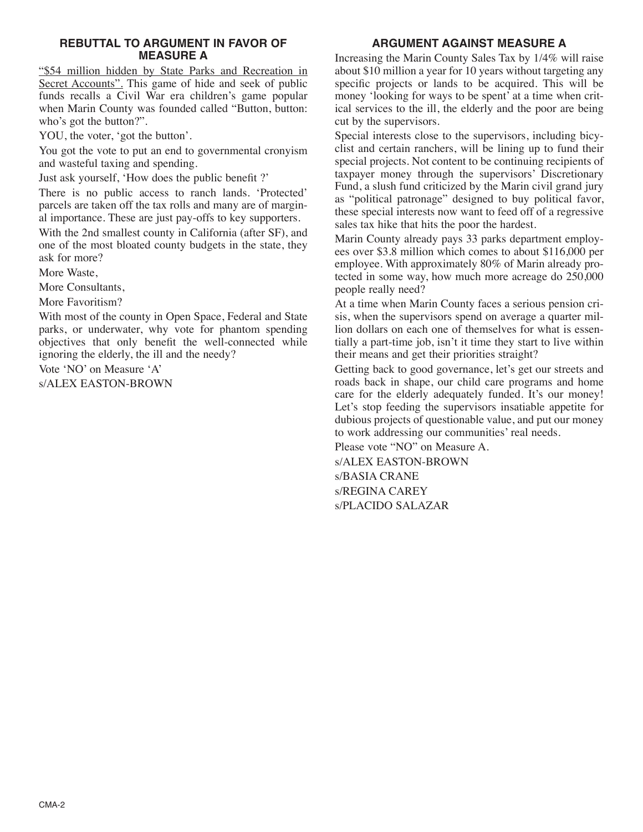#### **REBUTTAL TO ARGUMENT IN FAVOR OF MEASURE A**

"\$54 million hidden by State Parks and Recreation in Secret Accounts". This game of hide and seek of public funds recalls a Civil War era children's game popular when Marin County was founded called "Button, button: who's got the button?".

YOU, the voter, 'got the button'.

You got the vote to put an end to governmental cronyism and wasteful taxing and spending.

Just ask yourself, 'How does the public benefit ?'

There is no public access to ranch lands. 'Protected' parcels are taken off the tax rolls and many are of marginal importance. These are just pay-offs to key supporters.

With the 2nd smallest county in California (after SF), and one of the most bloated county budgets in the state, they ask for more?

More Waste,

More Consultants,

More Favoritism?

With most of the county in Open Space, Federal and State parks, or underwater, why vote for phantom spending objectives that only benefit the well-connected while ignoring the elderly, the ill and the needy?

Vote 'NO' on Measure 'A'

s/ALEX EASTON-BROWN

# **ARGUMENT AGAINST MEASURE A**

Increasing the Marin County Sales Tax by 1/4% will raise about \$10 million a year for 10 years without targeting any specific projects or lands to be acquired. This will be money 'looking for ways to be spent' at a time when critical services to the ill, the elderly and the poor are being cut by the supervisors.

Special interests close to the supervisors, including bicyclist and certain ranchers, will be lining up to fund their special projects. Not content to be continuing recipients of taxpayer money through the supervisors' Discretionary Fund, a slush fund criticized by the Marin civil grand jury as "political patronage" designed to buy political favor, these special interests now want to feed off of a regressive sales tax hike that hits the poor the hardest.

Marin County already pays 33 parks department employees over \$3.8 million which comes to about \$116,000 per employee. With approximately 80% of Marin already protected in some way, how much more acreage do 250,000 people really need?

At a time when Marin County faces a serious pension crisis, when the supervisors spend on average a quarter million dollars on each one of themselves for what is essentially a part-time job, isn't it time they start to live within their means and get their priorities straight?

Getting back to good governance, let's get our streets and roads back in shape, our child care programs and home care for the elderly adequately funded. It's our money! Let's stop feeding the supervisors insatiable appetite for dubious projects of questionable value, and put our money to work addressing our communities' real needs.

Please vote "NO" on Measure A. s/ALEX EASTON-BROWN s/BASIA CRANE

s/REGINA CAREY s/PLACIDO SALAZAR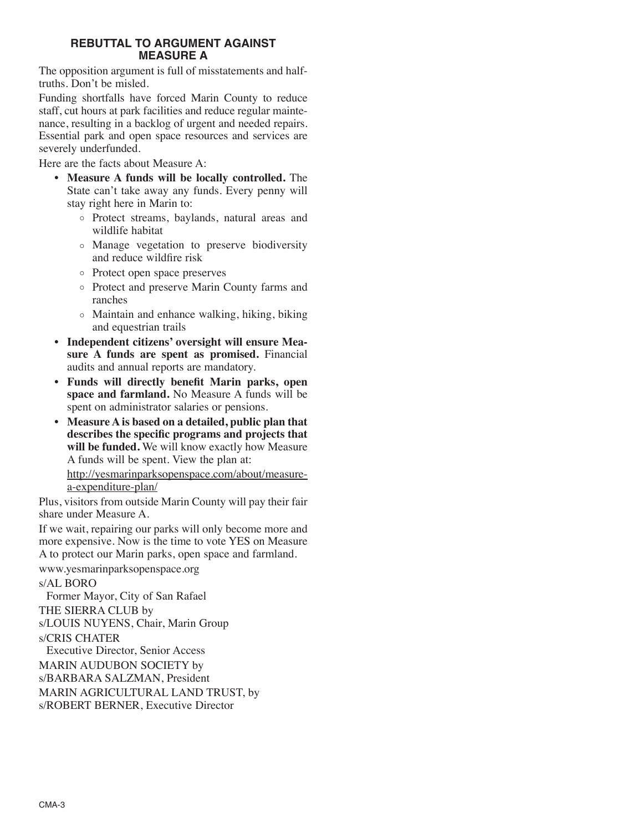#### **REBUTTAL TO ARGUMENT AGAINST MEASURE A**

The opposition argument is full of misstatements and halftruths. Don't be misled.

Funding shortfalls have forced Marin County to reduce staff, cut hours at park facilities and reduce regular maintenance, resulting in a backlog of urgent and needed repairs. Essential park and open space resources and services are severely underfunded.

Here are the facts about Measure A:

- **Measure A funds will be locally controlled.** The State can't take away any funds. Every penny will stay right here in Marin to:
	- o Protect streams, baylands, natural areas and wildlife habitat
	- o Manage vegetation to preserve biodiversity and reduce wildfire risk
	- o Protect open space preserves
	- o Protect and preserve Marin County farms and ranches
	- o Maintain and enhance walking, hiking, biking and equestrian trails
- **Independent citizens' oversight will ensure Measure A funds are spent as promised.** Financial audits and annual reports are mandatory.
- **Funds will directly benefit Marin parks, open space and farmland.** No Measure A funds will be spent on administrator salaries or pensions.
- **Measure A is based on a detailed, public plan that describes the specific programs and projects that will be funded.** We will know exactly how Measure A funds will be spent. View the plan at:

http://yesmarinparksopenspace.com/about/measurea-expenditure-plan/

Plus, visitors from outside Marin County will pay their fair share under Measure A.

If we wait, repairing our parks will only become more and more expensive. Now is the time to vote YES on Measure A to protect our Marin parks, open space and farmland.

# www.yesmarinparksopenspace.org

s/AL BORO

Former Mayor, City of San Rafael THE SIERRA CLUB by s/LOUIS NUYENS, Chair, Marin Group s/CRIS CHATER

Executive Director, Senior Access MARIN AUDUBON SOCIETY by s/BARBARA SALZMAN, President

MARIN AGRICULTURAL LAND TRUST, by s/ROBERT BERNER, Executive Director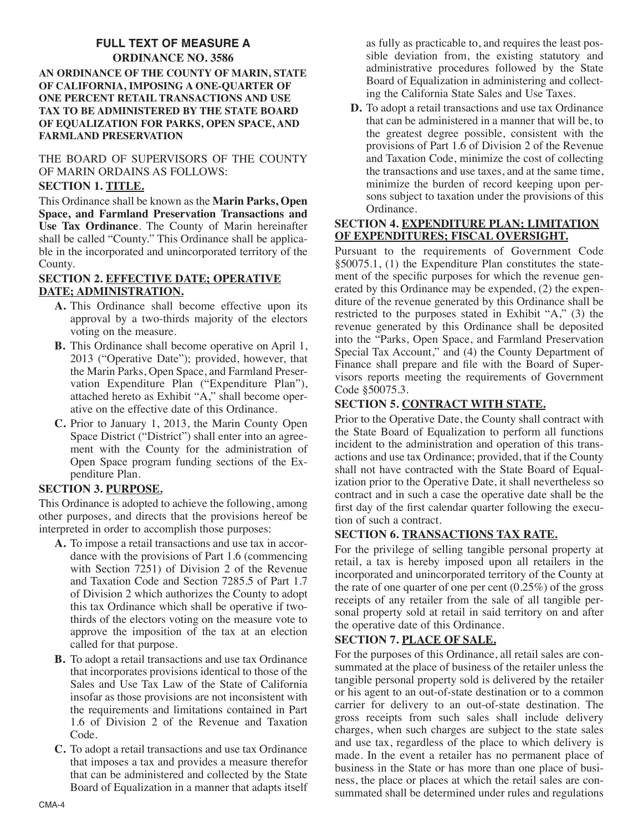# **FULL TEXT OF MEASURE A**

#### **ORDINANCE NO. 3586 AN ORDINANCE OF THE COUNTY OF MARIN, STATE OF CALIFORNIA, IMPOSING A ONE-QUARTER OF ONE PERCENT RETAIL TRANSACTIONS AND USE TAX TO BE ADMINISTERED BY THE STATE BOARD OF EQUALIZATION FOR PARKS, OPEN SPACE, AND FARMLAND PRESERVATION**

# THE BOARD OF SUPERVISORS OF THE COUNTY OF MARIN ORDAINS AS FOLLOWS:

### **SECTION 1. TITLE.**

This Ordinance shall be known as the **Marin Parks, Open Space, and Farmland Preservation Transactions and Use Tax Ordinance**. The County of Marin hereinafter shall be called "County." This Ordinance shall be applicable in the incorporated and unincorporated territory of the County.

#### **SECTION 2. EFFECTIVE DATE; OPERATIVE DATE; ADMINISTRATION.**

- **A.** This Ordinance shall become effective upon its approval by a two-thirds majority of the electors voting on the measure.
- **B.** This Ordinance shall become operative on April 1, 2013 ("Operative Date"); provided, however, that the Marin Parks, Open Space, and Farmland Preservation Expenditure Plan ("Expenditure Plan"), attached hereto as Exhibit "A," shall become operative on the effective date of this Ordinance.
- **C.** Prior to January 1, 2013, the Marin County Open Space District ("District") shall enter into an agreement with the County for the administration of Open Space program funding sections of the Expenditure Plan.

# **SECTION 3. PURPOSE.**

This Ordinance is adopted to achieve the following, among other purposes, and directs that the provisions hereof be interpreted in order to accomplish those purposes:

- **A.** To impose a retail transactions and use tax in accordance with the provisions of Part 1.6 (commencing with Section 7251) of Division 2 of the Revenue and Taxation Code and Section 7285.5 of Part 1.7 of Division 2 which authorizes the County to adopt this tax Ordinance which shall be operative if twothirds of the electors voting on the measure vote to approve the imposition of the tax at an election called for that purpose.
- **B.** To adopt a retail transactions and use tax Ordinance that incorporates provisions identical to those of the Sales and Use Tax Law of the State of California insofar as those provisions are not inconsistent with the requirements and limitations contained in Part 1.6 of Division 2 of the Revenue and Taxation Code.
- **C.** To adopt a retail transactions and use tax Ordinance that imposes a tax and provides a measure therefor that can be administered and collected by the State Board of Equalization in a manner that adapts itself

as fully as practicable to, and requires the least possible deviation from, the existing statutory and administrative procedures followed by the State Board of Equalization in administering and collecting the California State Sales and Use Taxes.

**D.** To adopt a retail transactions and use tax Ordinance that can be administered in a manner that will be, to the greatest degree possible, consistent with the provisions of Part 1.6 of Division 2 of the Revenue and Taxation Code, minimize the cost of collecting the transactions and use taxes, and at the same time, minimize the burden of record keeping upon persons subject to taxation under the provisions of this Ordinance.

#### **SECTION 4. EXPENDITURE PLAN; LIMITATION OF EXPENDITURES; FISCAL OVERSIGHT.**

Pursuant to the requirements of Government Code §50075.1, (1) the Expenditure Plan constitutes the statement of the specific purposes for which the revenue generated by this Ordinance may be expended, (2) the expenditure of the revenue generated by this Ordinance shall be restricted to the purposes stated in Exhibit "A," (3) the revenue generated by this Ordinance shall be deposited into the "Parks, Open Space, and Farmland Preservation Special Tax Account," and (4) the County Department of Finance shall prepare and file with the Board of Supervisors reports meeting the requirements of Government Code §50075.3.

### **SECTION 5. CONTRACT WITH STATE.**

Prior to the Operative Date, the County shall contract with the State Board of Equalization to perform all functions incident to the administration and operation of this transactions and use tax Ordinance; provided, that if the County shall not have contracted with the State Board of Equalization prior to the Operative Date, it shall nevertheless so contract and in such a case the operative date shall be the first day of the first calendar quarter following the execution of such a contract.

# **SECTION 6. TRANSACTIONS TAX RATE.**

For the privilege of selling tangible personal property at retail, a tax is hereby imposed upon all retailers in the incorporated and unincorporated territory of the County at the rate of one quarter of one per cent (0.25%) of the gross receipts of any retailer from the sale of all tangible personal property sold at retail in said territory on and after the operative date of this Ordinance.

# **SECTION 7. PLACE OF SALE.**

For the purposes of this Ordinance, all retail sales are consummated at the place of business of the retailer unless the tangible personal property sold is delivered by the retailer or his agent to an out-of-state destination or to a common carrier for delivery to an out-of-state destination. The gross receipts from such sales shall include delivery charges, when such charges are subject to the state sales and use tax, regardless of the place to which delivery is made. In the event a retailer has no permanent place of business in the State or has more than one place of business, the place or places at which the retail sales are consummated shall be determined under rules and regulations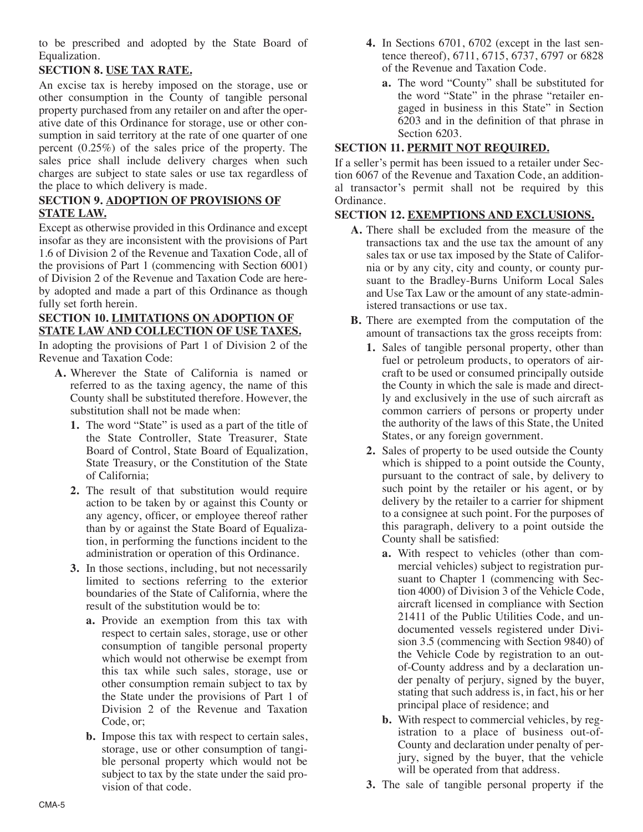to be prescribed and adopted by the State Board of Equalization.

# **SECTION 8. USE TAX RATE.**

An excise tax is hereby imposed on the storage, use or other consumption in the County of tangible personal property purchased from any retailer on and after the operative date of this Ordinance for storage, use or other consumption in said territory at the rate of one quarter of one percent (0.25%) of the sales price of the property. The sales price shall include delivery charges when such charges are subject to state sales or use tax regardless of the place to which delivery is made.

## **SECTION 9. ADOPTION OF PROVISIONS OF STATE LAW.**

Except as otherwise provided in this Ordinance and except insofar as they are inconsistent with the provisions of Part 1.6 of Division 2 of the Revenue and Taxation Code, all of the provisions of Part 1 (commencing with Section 6001) of Division 2 of the Revenue and Taxation Code are hereby adopted and made a part of this Ordinance as though fully set forth herein.

#### **SECTION 10. LIMITATIONS ON ADOPTION OF STATE LAW AND COLLECTION OF USE TAXES.**

In adopting the provisions of Part 1 of Division 2 of the Revenue and Taxation Code:

- **A.** Wherever the State of California is named or referred to as the taxing agency, the name of this County shall be substituted therefore. However, the substitution shall not be made when:
	- **1.** The word "State" is used as a part of the title of the State Controller, State Treasurer, State Board of Control, State Board of Equalization, State Treasury, or the Constitution of the State of California;
	- **2.** The result of that substitution would require action to be taken by or against this County or any agency, officer, or employee thereof rather than by or against the State Board of Equalization, in performing the functions incident to the administration or operation of this Ordinance.
	- **3.** In those sections, including, but not necessarily limited to sections referring to the exterior boundaries of the State of California, where the result of the substitution would be to:
		- **a.** Provide an exemption from this tax with respect to certain sales, storage, use or other consumption of tangible personal property which would not otherwise be exempt from this tax while such sales, storage, use or other consumption remain subject to tax by the State under the provisions of Part 1 of Division 2 of the Revenue and Taxation Code, or;
		- **b.** Impose this tax with respect to certain sales, storage, use or other consumption of tangible personal property which would not be subject to tax by the state under the said provision of that code.
- **4.** In Sections 6701, 6702 (except in the last sentence thereof), 6711, 6715, 6737, 6797 or 6828 of the Revenue and Taxation Code.
	- **a.** The word "County" shall be substituted for the word "State" in the phrase "retailer engaged in business in this State" in Section 6203 and in the definition of that phrase in Section 6203.

# **SECTION 11. PERMIT NOT REQUIRED.**

If a seller's permit has been issued to a retailer under Section 6067 of the Revenue and Taxation Code, an additional transactor's permit shall not be required by this Ordinance.

### **SECTION 12. EXEMPTIONS AND EXCLUSIONS.**

- **A.** There shall be excluded from the measure of the transactions tax and the use tax the amount of any sales tax or use tax imposed by the State of California or by any city, city and county, or county pursuant to the Bradley-Burns Uniform Local Sales and Use Tax Law or the amount of any state-administered transactions or use tax.
- **B.** There are exempted from the computation of the amount of transactions tax the gross receipts from:
	- **1.** Sales of tangible personal property, other than fuel or petroleum products, to operators of aircraft to be used or consumed principally outside the County in which the sale is made and directly and exclusively in the use of such aircraft as common carriers of persons or property under the authority of the laws of this State, the United States, or any foreign government.
	- **2.** Sales of property to be used outside the County which is shipped to a point outside the County, pursuant to the contract of sale, by delivery to such point by the retailer or his agent, or by delivery by the retailer to a carrier for shipment to a consignee at such point. For the purposes of this paragraph, delivery to a point outside the County shall be satisfied:
		- **a.** With respect to vehicles (other than commercial vehicles) subject to registration pursuant to Chapter 1 (commencing with Section 4000) of Division 3 of the Vehicle Code, aircraft licensed in compliance with Section 21411 of the Public Utilities Code, and undocumented vessels registered under Division 3.5 (commencing with Section 9840) of the Vehicle Code by registration to an outof-County address and by a declaration under penalty of perjury, signed by the buyer, stating that such address is, in fact, his or her principal place of residence; and
		- **b.** With respect to commercial vehicles, by registration to a place of business out-of-County and declaration under penalty of perjury, signed by the buyer, that the vehicle will be operated from that address.
	- **3.** The sale of tangible personal property if the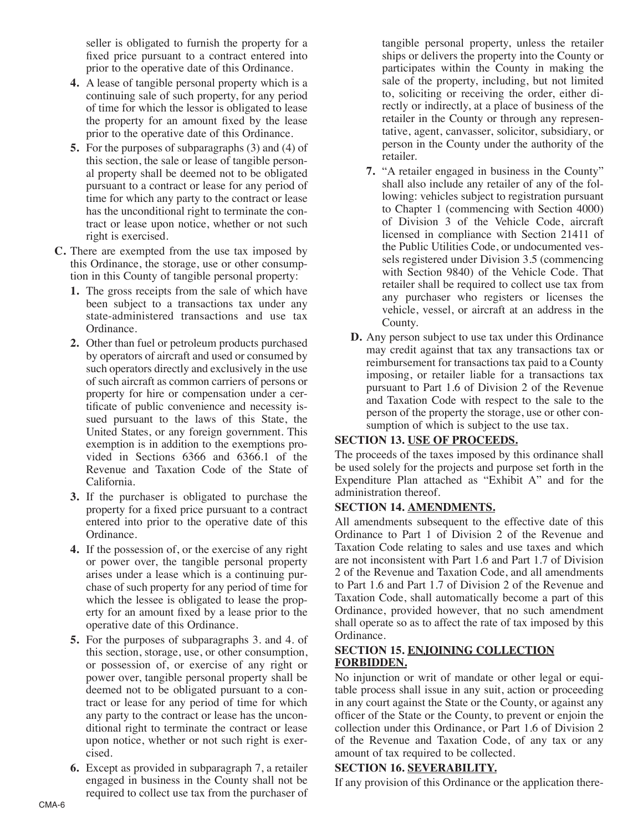seller is obligated to furnish the property for a fixed price pursuant to a contract entered into prior to the operative date of this Ordinance.

- **4.** A lease of tangible personal property which is a continuing sale of such property, for any period of time for which the lessor is obligated to lease the property for an amount fixed by the lease prior to the operative date of this Ordinance.
- **5.** For the purposes of subparagraphs (3) and (4) of this section, the sale or lease of tangible personal property shall be deemed not to be obligated pursuant to a contract or lease for any period of time for which any party to the contract or lease has the unconditional right to terminate the contract or lease upon notice, whether or not such right is exercised.
- **C.** There are exempted from the use tax imposed by this Ordinance, the storage, use or other consumption in this County of tangible personal property:
	- **1.** The gross receipts from the sale of which have been subject to a transactions tax under any state-administered transactions and use tax Ordinance.
	- **2.** Other than fuel or petroleum products purchased by operators of aircraft and used or consumed by such operators directly and exclusively in the use of such aircraft as common carriers of persons or property for hire or compensation under a certificate of public convenience and necessity issued pursuant to the laws of this State, the United States, or any foreign government. This exemption is in addition to the exemptions provided in Sections 6366 and 6366.1 of the Revenue and Taxation Code of the State of California.
	- **3.** If the purchaser is obligated to purchase the property for a fixed price pursuant to a contract entered into prior to the operative date of this Ordinance.
	- **4.** If the possession of, or the exercise of any right or power over, the tangible personal property arises under a lease which is a continuing purchase of such property for any period of time for which the lessee is obligated to lease the property for an amount fixed by a lease prior to the operative date of this Ordinance.
	- **5.** For the purposes of subparagraphs 3. and 4. of this section, storage, use, or other consumption, or possession of, or exercise of any right or power over, tangible personal property shall be deemed not to be obligated pursuant to a contract or lease for any period of time for which any party to the contract or lease has the unconditional right to terminate the contract or lease upon notice, whether or not such right is exercised.
	- **6.** Except as provided in subparagraph 7, a retailer engaged in business in the County shall not be required to collect use tax from the purchaser of

tangible personal property, unless the retailer ships or delivers the property into the County or participates within the County in making the sale of the property, including, but not limited to, soliciting or receiving the order, either directly or indirectly, at a place of business of the retailer in the County or through any representative, agent, canvasser, solicitor, subsidiary, or person in the County under the authority of the retailer.

- **7.** "A retailer engaged in business in the County" shall also include any retailer of any of the following: vehicles subject to registration pursuant to Chapter 1 (commencing with Section 4000) of Division 3 of the Vehicle Code, aircraft licensed in compliance with Section 21411 of the Public Utilities Code, or undocumented vessels registered under Division 3.5 (commencing with Section 9840) of the Vehicle Code. That retailer shall be required to collect use tax from any purchaser who registers or licenses the vehicle, vessel, or aircraft at an address in the County.
- **D.** Any person subject to use tax under this Ordinance may credit against that tax any transactions tax or reimbursement for transactions tax paid to a County imposing, or retailer liable for a transactions tax pursuant to Part 1.6 of Division 2 of the Revenue and Taxation Code with respect to the sale to the person of the property the storage, use or other consumption of which is subject to the use tax.

# **SECTION 13. USE OF PROCEEDS.**

The proceeds of the taxes imposed by this ordinance shall be used solely for the projects and purpose set forth in the Expenditure Plan attached as "Exhibit A" and for the administration thereof.

# **SECTION 14. AMENDMENTS.**

All amendments subsequent to the effective date of this Ordinance to Part 1 of Division 2 of the Revenue and Taxation Code relating to sales and use taxes and which are not inconsistent with Part 1.6 and Part 1.7 of Division 2 of the Revenue and Taxation Code, and all amendments to Part 1.6 and Part 1.7 of Division 2 of the Revenue and Taxation Code, shall automatically become a part of this Ordinance, provided however, that no such amendment shall operate so as to affect the rate of tax imposed by this Ordinance.

# **SECTION 15. ENJOINING COLLECTION FORBIDDEN.**

No injunction or writ of mandate or other legal or equitable process shall issue in any suit, action or proceeding in any court against the State or the County, or against any officer of the State or the County, to prevent or enjoin the collection under this Ordinance, or Part 1.6 of Division 2 of the Revenue and Taxation Code, of any tax or any amount of tax required to be collected.

#### **SECTION 16. SEVERABILITY.**

If any provision of this Ordinance or the application there-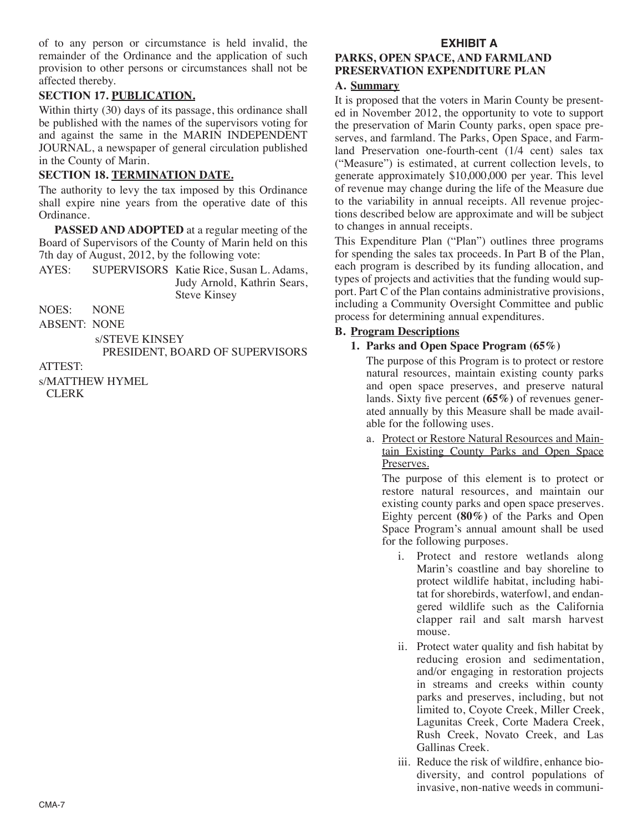of to any person or circumstance is held invalid, the remainder of the Ordinance and the application of such provision to other persons or circumstances shall not be affected thereby.

# **SECTION 17. PUBLICATION.**

Within thirty (30) days of its passage, this ordinance shall be published with the names of the supervisors voting for and against the same in the MARIN INDEPENDENT JOURNAL, a newspaper of general circulation published in the County of Marin.

## **SECTION 18. TERMINATION DATE.**

The authority to levy the tax imposed by this Ordinance shall expire nine years from the operative date of this Ordinance.

**PASSED AND ADOPTED** at a regular meeting of the Board of Supervisors of the County of Marin held on this 7th day of August, 2012, by the following vote:

AYES: SUPERVISORS Katie Rice, Susan L. Adams, Judy Arnold, Kathrin Sears, Steve Kinsey

NOES: NONE

ABSENT: NONE

s/STEVE KINSEY

PRESIDENT, BOARD OF SUPERVISORS

ATTEST:

s/MATTHEW HYMEL CLERK

# **EXHIBIT A**

## **PARKS, OPEN SPACE, AND FARMLAND PRESERVATION EXPENDITURE PLAN**

#### **A. Summary**

It is proposed that the voters in Marin County be presented in November 2012, the opportunity to vote to support the preservation of Marin County parks, open space preserves, and farmland. The Parks, Open Space, and Farmland Preservation one-fourth-cent (1/4 cent) sales tax ("Measure") is estimated, at current collection levels, to generate approximately \$10,000,000 per year. This level of revenue may change during the life of the Measure due to the variability in annual receipts. All revenue projections described below are approximate and will be subject to changes in annual receipts.

This Expenditure Plan ("Plan") outlines three programs for spending the sales tax proceeds. In Part B of the Plan, each program is described by its funding allocation, and types of projects and activities that the funding would support. Part C of the Plan contains administrative provisions, including a Community Oversight Committee and public process for determining annual expenditures.

### **B. Program Descriptions**

### **1. Parks and Open Space Program (65%)**

The purpose of this Program is to protect or restore natural resources, maintain existing county parks and open space preserves, and preserve natural lands. Sixty five percent **(65%)** of revenues generated annually by this Measure shall be made available for the following uses.

a. Protect or Restore Natural Resources and Maintain Existing County Parks and Open Space Preserves.

The purpose of this element is to protect or restore natural resources, and maintain our existing county parks and open space preserves. Eighty percent **(80%)** of the Parks and Open Space Program's annual amount shall be used for the following purposes.

- i. Protect and restore wetlands along Marin's coastline and bay shoreline to protect wildlife habitat, including habitat for shorebirds, waterfowl, and endangered wildlife such as the California clapper rail and salt marsh harvest mouse.
- ii. Protect water quality and fish habitat by reducing erosion and sedimentation, and/or engaging in restoration projects in streams and creeks within county parks and preserves, including, but not limited to, Coyote Creek, Miller Creek, Lagunitas Creek, Corte Madera Creek, Rush Creek, Novato Creek, and Las Gallinas Creek.
- iii. Reduce the risk of wildfire, enhance biodiversity, and control populations of invasive, non-native weeds in communi-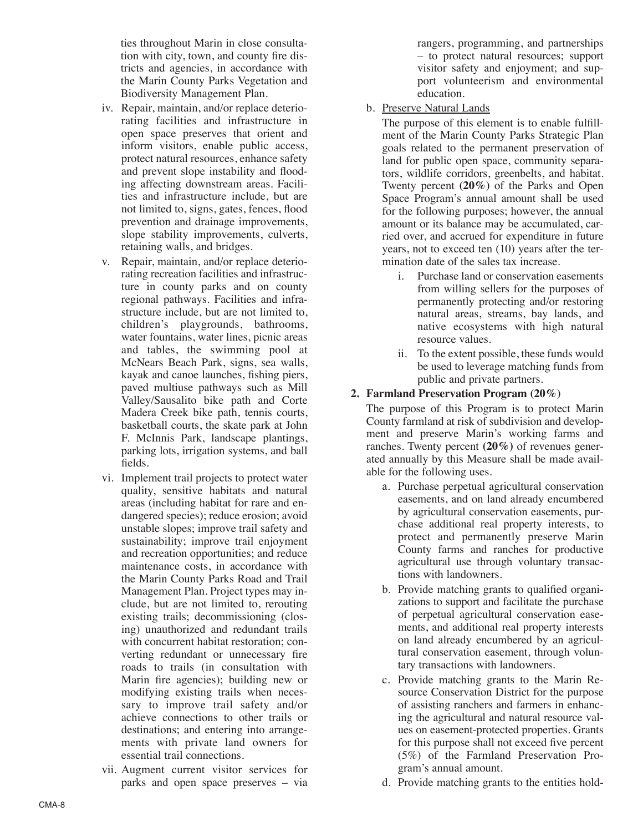ties throughout Marin in close consultation with city, town, and county fire districts and agencies, in accordance with the Marin County Parks Vegetation and Biodiversity Management Plan.

- iv. Repair, maintain, and/or replace deteriorating facilities and infrastructure in open space preserves that orient and inform visitors, enable public access, protect natural resources, enhance safety and prevent slope instability and flooding affecting downstream areas. Facilities and infrastructure include, but are not limited to, signs, gates, fences, flood prevention and drainage improvements, slope stability improvements, culverts, retaining walls, and bridges.
- v. Repair, maintain, and/or replace deteriorating recreation facilities and infrastructure in county parks and on county regional pathways. Facilities and infrastructure include, but are not limited to, children's playgrounds, bathrooms, water fountains, water lines, picnic areas and tables, the swimming pool at McNears Beach Park, signs, sea walls, kayak and canoe launches, fishing piers, paved multiuse pathways such as Mill Valley/Sausalito bike path and Corte Madera Creek bike path, tennis courts, basketball courts, the skate park at John F. McInnis Park, landscape plantings, parking lots, irrigation systems, and ball fields.
- vi. Implement trail projects to protect water quality, sensitive habitats and natural areas (including habitat for rare and endangered species); reduce erosion; avoid unstable slopes; improve trail safety and sustainability; improve trail enjoyment and recreation opportunities; and reduce maintenance costs, in accordance with the Marin County Parks Road and Trail Management Plan. Project types may include, but are not limited to, rerouting existing trails; decommissioning (closing) unauthorized and redundant trails with concurrent habitat restoration; converting redundant or unnecessary fire roads to trails (in consultation with Marin fire agencies); building new or modifying existing trails when necessary to improve trail safety and/or achieve connections to other trails or destinations; and entering into arrangements with private land owners for essential trail connections.
- vii. Augment current visitor services for parks and open space preserves – via

rangers, programming, and partnerships – to protect natural resources; support visitor safety and enjoyment; and support volunteerism and environmental education.

b. Preserve Natural Lands

The purpose of this element is to enable fulfillment of the Marin County Parks Strategic Plan goals related to the permanent preservation of land for public open space, community separators, wildlife corridors, greenbelts, and habitat. Twenty percent **(20%)** of the Parks and Open Space Program's annual amount shall be used for the following purposes; however, the annual amount or its balance may be accumulated, carried over, and accrued for expenditure in future years, not to exceed ten (10) years after the termination date of the sales tax increase.

- i. Purchase land or conservation easements from willing sellers for the purposes of permanently protecting and/or restoring natural areas, streams, bay lands, and native ecosystems with high natural resource values.
- ii. To the extent possible, these funds would be used to leverage matching funds from public and private partners.

### **2. Farmland Preservation Program (20%)**

The purpose of this Program is to protect Marin County farmland at risk of subdivision and development and preserve Marin's working farms and ranches. Twenty percent **(20%)** of revenues generated annually by this Measure shall be made available for the following uses.

- a. Purchase perpetual agricultural conservation easements, and on land already encumbered by agricultural conservation easements, purchase additional real property interests, to protect and permanently preserve Marin County farms and ranches for productive agricultural use through voluntary transactions with landowners.
- b. Provide matching grants to qualified organizations to support and facilitate the purchase of perpetual agricultural conservation easements, and additional real property interests on land already encumbered by an agricultural conservation easement, through voluntary transactions with landowners.
- c. Provide matching grants to the Marin Resource Conservation District for the purpose of assisting ranchers and farmers in enhancing the agricultural and natural resource values on easement-protected properties. Grants for this purpose shall not exceed five percent (5%) of the Farmland Preservation Program's annual amount.
- d. Provide matching grants to the entities hold-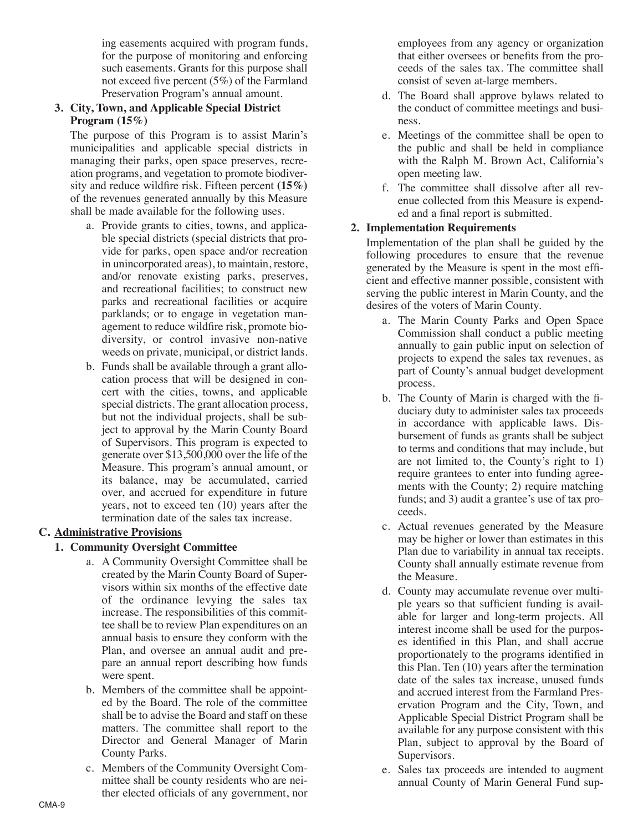ing easements acquired with program funds, for the purpose of monitoring and enforcing such easements. Grants for this purpose shall not exceed five percent (5%) of the Farmland Preservation Program's annual amount.

## **3. City, Town, and Applicable Special District Program (15%)**

The purpose of this Program is to assist Marin's municipalities and applicable special districts in managing their parks, open space preserves, recreation programs, and vegetation to promote biodiversity and reduce wildfire risk. Fifteen percent **(15%)** of the revenues generated annually by this Measure shall be made available for the following uses.

- a. Provide grants to cities, towns, and applicable special districts (special districts that provide for parks, open space and/or recreation in unincorporated areas), to maintain, restore, and/or renovate existing parks, preserves, and recreational facilities; to construct new parks and recreational facilities or acquire parklands; or to engage in vegetation management to reduce wildfire risk, promote biodiversity, or control invasive non-native weeds on private, municipal, or district lands.
- b. Funds shall be available through a grant allocation process that will be designed in concert with the cities, towns, and applicable special districts. The grant allocation process, but not the individual projects, shall be subject to approval by the Marin County Board of Supervisors. This program is expected to generate over \$13,500,000 over the life of the Measure. This program's annual amount, or its balance, may be accumulated, carried over, and accrued for expenditure in future years, not to exceed ten (10) years after the termination date of the sales tax increase.

# **C. Administrative Provisions**

#### **1. Community Oversight Committee**

- a. A Community Oversight Committee shall be created by the Marin County Board of Supervisors within six months of the effective date of the ordinance levying the sales tax increase. The responsibilities of this committee shall be to review Plan expenditures on an annual basis to ensure they conform with the Plan, and oversee an annual audit and prepare an annual report describing how funds were spent.
- b. Members of the committee shall be appointed by the Board. The role of the committee shall be to advise the Board and staff on these matters. The committee shall report to the Director and General Manager of Marin County Parks.
- c. Members of the Community Oversight Committee shall be county residents who are neither elected officials of any government, nor

employees from any agency or organization that either oversees or benefits from the proceeds of the sales tax. The committee shall consist of seven at-large members.

- d. The Board shall approve bylaws related to the conduct of committee meetings and business.
- e. Meetings of the committee shall be open to the public and shall be held in compliance with the Ralph M. Brown Act, California's open meeting law.
- f. The committee shall dissolve after all revenue collected from this Measure is expended and a final report is submitted.

### **2. Implementation Requirements**

Implementation of the plan shall be guided by the following procedures to ensure that the revenue generated by the Measure is spent in the most efficient and effective manner possible, consistent with serving the public interest in Marin County, and the desires of the voters of Marin County.

- a. The Marin County Parks and Open Space Commission shall conduct a public meeting annually to gain public input on selection of projects to expend the sales tax revenues, as part of County's annual budget development process.
- b. The County of Marin is charged with the fiduciary duty to administer sales tax proceeds in accordance with applicable laws. Disbursement of funds as grants shall be subject to terms and conditions that may include, but are not limited to, the County's right to 1) require grantees to enter into funding agreements with the County; 2) require matching funds; and 3) audit a grantee's use of tax proceeds.
- c. Actual revenues generated by the Measure may be higher or lower than estimates in this Plan due to variability in annual tax receipts. County shall annually estimate revenue from the Measure.
- d. County may accumulate revenue over multiple years so that sufficient funding is available for larger and long-term projects. All interest income shall be used for the purposes identified in this Plan, and shall accrue proportionately to the programs identified in this Plan. Ten (10) years after the termination date of the sales tax increase, unused funds and accrued interest from the Farmland Preservation Program and the City, Town, and Applicable Special District Program shall be available for any purpose consistent with this Plan, subject to approval by the Board of Supervisors.
- e. Sales tax proceeds are intended to augment annual County of Marin General Fund sup-